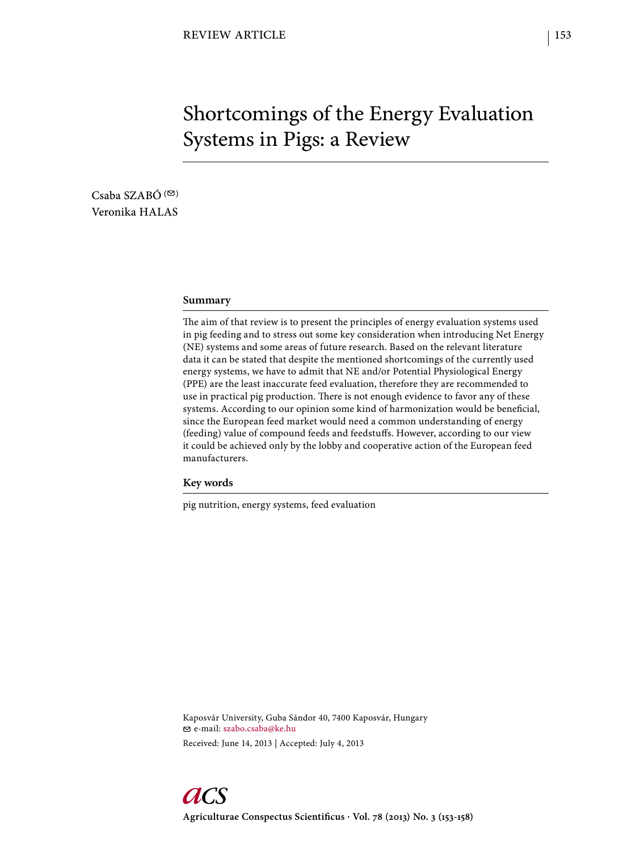# Shortcomings of the Energy Evaluation Systems in Pigs: a Review

Csaba SZABÓ $($ Veronika HALAS

#### **Summary**

The aim of that review is to present the principles of energy evaluation systems used in pig feeding and to stress out some key consideration when introducing Net Energy (NE) systems and some areas of future research. Based on the relevant literature data it can be stated that despite the mentioned shortcomings of the currently used energy systems, we have to admit that NE and/or Potential Physiological Energy (PPE) are the least inaccurate feed evaluation, therefore they are recommended to use in practical pig production. There is not enough evidence to favor any of these systems. According to our opinion some kind of harmonization would be beneficial, since the European feed market would need a common understanding of energy (feeding) value of compound feeds and feedstuffs. However, according to our view it could be achieved only by the lobby and cooperative action of the European feed manufacturers.

**Key words**

pig nutrition, energy systems, feed evaluation

Kaposvár University, Guba Sándor 40, 7400 Kaposvár, Hungary e-mail: szabo.csaba@ke.hu Received: June 14, 2013 | Accepted: July 4, 2013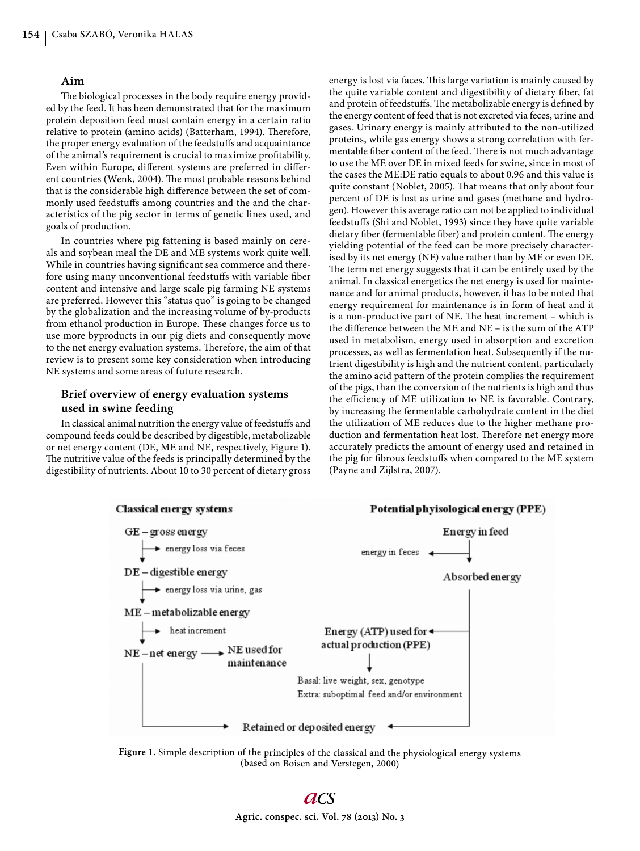#### **Aim**

The biological processes in the body require energy provided by the feed. It has been demonstrated that for the maximum protein deposition feed must contain energy in a certain ratio relative to protein (amino acids) (Batterham, 1994). Therefore, the proper energy evaluation of the feedstuffs and acquaintance of the animal's requirement is crucial to maximize profitability. Even within Europe, different systems are preferred in different countries (Wenk, 2004). The most probable reasons behind that is the considerable high difference between the set of commonly used feedstuffs among countries and the and the characteristics of the pig sector in terms of genetic lines used, and goals of production.

In countries where pig fattening is based mainly on cereals and soybean meal the DE and ME systems work quite well. While in countries having significant sea commerce and therefore using many unconventional feedstuffs with variable fiber content and intensive and large scale pig farming NE systems are preferred. However this "status quo" is going to be changed by the globalization and the increasing volume of by-products from ethanol production in Europe. These changes force us to use more byproducts in our pig diets and consequently move to the net energy evaluation systems. Therefore, the aim of that review is to present some key consideration when introducing NE systems and some areas of future research.

# **Brief overview of energy evaluation systems used in swine feeding**

In classical animal nutrition the energy value of feedstuffs and compound feeds could be described by digestible, metabolizable or net energy content (DE, ME and NE, respectively, Figure 1). The nutritive value of the feeds is principally determined by the digestibility of nutrients. About 10 to 30 percent of dietary gross energy is lost via faces. This large variation is mainly caused by the quite variable content and digestibility of dietary fiber, fat and protein of feedstuffs. The metabolizable energy is defined by the energy content of feed that is not excreted via feces, urine and gases. Urinary energy is mainly attributed to the non-utilized proteins, while gas energy shows a strong correlation with fermentable fiber content of the feed. There is not much advantage to use the ME over DE in mixed feeds for swine, since in most of the cases the ME:DE ratio equals to about 0.96 and this value is quite constant (Noblet, 2005). That means that only about four percent of DE is lost as urine and gases (methane and hydrogen). However this average ratio can not be applied to individual feedstuffs (Shi and Noblet, 1993) since they have quite variable dietary fiber (fermentable fiber) and protein content. The energy yielding potential of the feed can be more precisely characterised by its net energy (NE) value rather than by ME or even DE. The term net energy suggests that it can be entirely used by the animal. In classical energetics the net energy is used for maintenance and for animal products, however, it has to be noted that energy requirement for maintenance is in form of heat and it is a non-productive part of NE. The heat increment – which is the difference between the ME and  $NE -$  is the sum of the ATP used in metabolism, energy used in absorption and excretion processes, as well as fermentation heat. Subsequently if the nutrient digestibility is high and the nutrient content, particularly the amino acid pattern of the protein complies the requirement of the pigs, than the conversion of the nutrients is high and thus the efficiency of ME utilization to NE is favorable. Contrary, by increasing the fermentable carbohydrate content in the diet the utilization of ME reduces due to the higher methane production and fermentation heat lost. Therefore net energy more accurately predicts the amount of energy used and retained in the pig for fibrous feedstuffs when compared to the ME system (Payne and Zijlstra, 2007).



**Figure 1.** Simple description of the principles of the classical and the physiological energy systems (based on Boisen and Verstegen, 2000)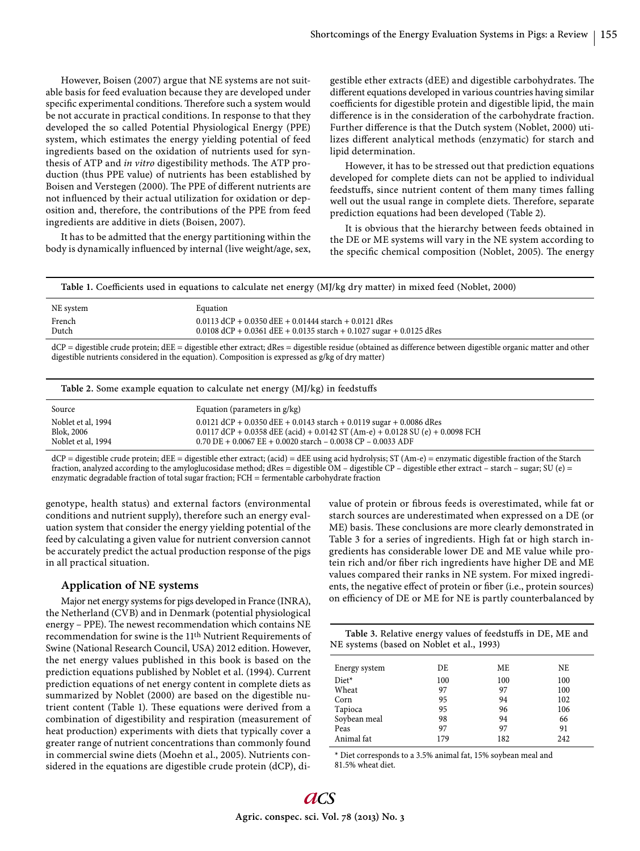However, Boisen (2007) argue that NE systems are not suitable basis for feed evaluation because they are developed under specific experimental conditions. Therefore such a system would be not accurate in practical conditions. In response to that they developed the so called Potential Physiological Energy (PPE) system, which estimates the energy yielding potential of feed ingredients based on the oxidation of nutrients used for synthesis of ATP and *in vitro* digestibility methods. The ATP production (thus PPE value) of nutrients has been established by Boisen and Verstegen (2000). The PPE of different nutrients are not influenced by their actual utilization for oxidation or deposition and, therefore, the contributions of the PPE from feed ingredients are additive in diets (Boisen, 2007).

It has to be admitted that the energy partitioning within the body is dynamically influenced by internal (live weight/age, sex,

gestible ether extracts (dEE) and digestible carbohydrates. The different equations developed in various countries having similar coefficients for digestible protein and digestible lipid, the main difference is in the consideration of the carbohydrate fraction. Further difference is that the Dutch system (Noblet, 2000) utilizes different analytical methods (enzymatic) for starch and lipid determination.

However, it has to be stressed out that prediction equations developed for complete diets can not be applied to individual feedstuffs, since nutrient content of them many times falling well out the usual range in complete diets. Therefore, separate prediction equations had been developed (Table 2).

It is obvious that the hierarchy between feeds obtained in the DE or ME systems will vary in the NE system according to the specific chemical composition (Noblet, 2005). The energy

Table 1. Coefficients used in equations to calculate net energy (MJ/kg dry matter) in mixed feed (Noblet, 2000)

| NE system | Equation                                                               |
|-----------|------------------------------------------------------------------------|
| French    | $0.0113$ dCP + 0.0350 dEE + 0.01444 starch + 0.0121 dRes               |
| Dutch     | $0.0108$ dCP + 0.0361 dEE + 0.0135 starch + 0.1027 sugar + 0.0125 dRes |

dCP = digestible crude protein; dEE = digestible ether extract; dRes = digestible residue (obtained as difference between digestible organic matter and other digestible nutrients considered in the equation). Composition is expressed as g/kg of dry matter)

| Table 2. Some example equation to calculate net energy (MJ/kg) in feedstuffs |                                                                                                                                                                                                                            |  |  |
|------------------------------------------------------------------------------|----------------------------------------------------------------------------------------------------------------------------------------------------------------------------------------------------------------------------|--|--|
| Source                                                                       | Equation (parameters in g/kg)                                                                                                                                                                                              |  |  |
| Noblet et al, 1994<br>Blok, 2006<br>Noblet et al, 1994                       | $0.0121$ dCP + 0.0350 dEE + 0.0143 starch + 0.0119 sugar + 0.0086 dRes<br>0.0117 dCP + 0.0358 dEE (acid) + 0.0142 ST (Am-e) + 0.0128 SU (e) + 0.0098 FCH<br>$0.70$ DE + 0.0067 EE + 0.0020 starch – 0.0038 CP – 0.0033 ADF |  |  |

dCP = digestible crude protein; dEE = digestible ether extract; (acid) = dEE using acid hydrolysis; ST (Am-e) = enzymatic digestible fraction of the Starch fraction, analyzed according to the amyloglucosidase method; dRes = digestible OM – digestible CP – digestible ether extract – starch – sugar; SU (e) = enzymatic degradable fraction of total sugar fraction; FCH = fermentable carbohydrate fraction

genotype, health status) and external factors (environmental conditions and nutrient supply), therefore such an energy evaluation system that consider the energy yielding potential of the feed by calculating a given value for nutrient conversion cannot be accurately predict the actual production response of the pigs in all practical situation.

#### **Application of NE systems**

Major net energy systems for pigs developed in France (INRA), the Netherland (CVB) and in Denmark (potential physiological energy - PPE). The newest recommendation which contains NE recommendation for swine is the 11th Nutrient Requirements of Swine (National Research Council, USA) 2012 edition. However, the net energy values published in this book is based on the prediction equations published by Noblet et al. (1994). Current prediction equations of net energy content in complete diets as summarized by Noblet (2000) are based on the digestible nutrient content (Table 1). These equations were derived from a combination of digestibility and respiration (measurement of heat production) experiments with diets that typically cover a greater range of nutrient concentrations than commonly found in commercial swine diets (Moehn et al., 2005). Nutrients considered in the equations are digestible crude protein (dCP), divalue of protein or fibrous feeds is overestimated, while fat or starch sources are underestimated when expressed on a DE (or ME) basis. These conclusions are more clearly demonstrated in Table 3 for a series of ingredients. High fat or high starch ingredients has considerable lower DE and ME value while protein rich and/or fiber rich ingredients have higher DE and ME values compared their ranks in NE system. For mixed ingredients, the negative effect of protein or fiber (i.e., protein sources) on efficiency of DE or ME for NE is partly counterbalanced by

Table 3. Relative energy values of feedstuffs in DE, ME and NE systems (based on Noblet et al., 1993)

| Energy system | DE  | ME  | NE  |
|---------------|-----|-----|-----|
| Diet*         | 100 | 100 | 100 |
| Wheat         | 97  | 97  | 100 |
| Corn          | 95  | 94  | 102 |
| Tapioca       | 95  | 96  | 106 |
| Soybean meal  | 98  | 94  | 66  |
| Peas          | 97  | 97  | 91  |
| Animal fat    | 179 | 182 | 242 |

\* Diet corresponds to a 3.5% animal fat, 15% soybean meal and 81.5% wheat diet.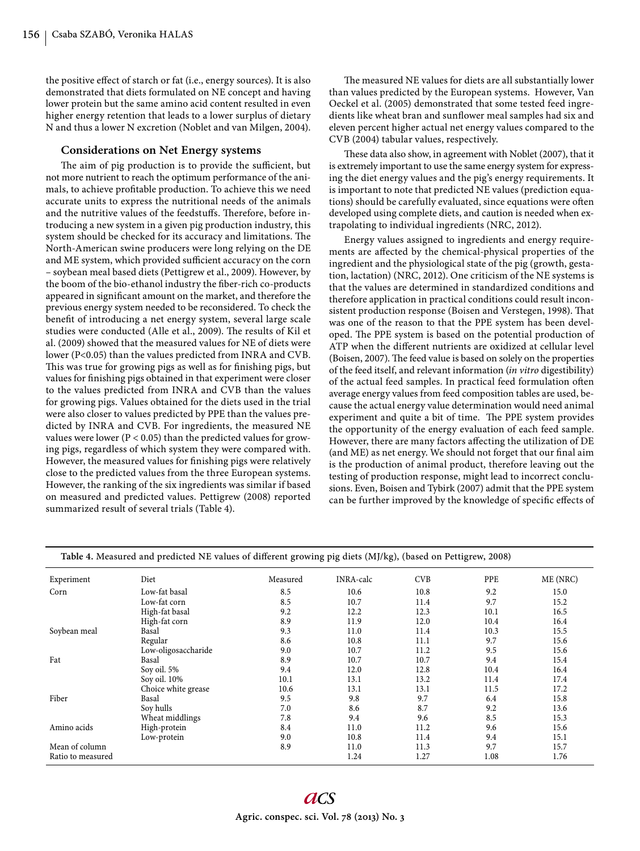the positive effect of starch or fat (i.e., energy sources). It is also demonstrated that diets formulated on NE concept and having lower protein but the same amino acid content resulted in even higher energy retention that leads to a lower surplus of dietary N and thus a lower N excretion (Noblet and van Milgen, 2004).

# **Considerations on Net Energy systems**

The aim of pig production is to provide the sufficient, but not more nutrient to reach the optimum performance of the animals, to achieve profitable production. To achieve this we need accurate units to express the nutritional needs of the animals and the nutritive values of the feedstuffs. Therefore, before introducing a new system in a given pig production industry, this system should be checked for its accuracy and limitations. The North-American swine producers were long relying on the DE and ME system, which provided sufficient accuracy on the corn – soybean meal based diets (Pettigrew et al., 2009). However, by the boom of the bio-ethanol industry the fiber-rich co-products appeared in significant amount on the market, and therefore the previous energy system needed to be reconsidered. To check the benefit of introducing a net energy system, several large scale studies were conducted (Alle et al., 2009). The results of Kil et al. (2009) showed that the measured values for NE of diets were lower (P<0.05) than the values predicted from INRA and CVB. This was true for growing pigs as well as for finishing pigs, but values for finishing pigs obtained in that experiment were closer to the values predicted from INRA and CVB than the values for growing pigs. Values obtained for the diets used in the trial were also closer to values predicted by PPE than the values predicted by INRA and CVB. For ingredients, the measured NE values were lower ( $P < 0.05$ ) than the predicted values for growing pigs, regardless of which system they were compared with. However, the measured values for finishing pigs were relatively close to the predicted values from the three European systems. However, the ranking of the six ingredients was similar if based on measured and predicted values. Pettigrew (2008) reported summarized result of several trials (Table 4).

The measured NE values for diets are all substantially lower than values predicted by the European systems. However, Van Oeckel et al. (2005) demonstrated that some tested feed ingredients like wheat bran and sunflower meal samples had six and eleven percent higher actual net energy values compared to the CVB (2004) tabular values, respectively.

These data also show, in agreement with Noblet (2007), that it is extremely important to use the same energy system for expressing the diet energy values and the pig's energy requirements. It is important to note that predicted NE values (prediction equations) should be carefully evaluated, since equations were often developed using complete diets, and caution is needed when extrapolating to individual ingredients (NRC, 2012).

Energy values assigned to ingredients and energy requirements are affected by the chemical-physical properties of the ingredient and the physiological state of the pig (growth, gestation, lactation) (NRC, 2012). One criticism of the NE systems is that the values are determined in standardized conditions and therefore application in practical conditions could result inconsistent production response (Boisen and Verstegen, 1998). That was one of the reason to that the PPE system has been developed. The PPE system is based on the potential production of ATP when the different nutrients are oxidized at cellular level (Boisen, 2007). The feed value is based on solely on the properties of the feed itself, and relevant information (*in vitro* digestibility) of the actual feed samples. In practical feed formulation often average energy values from feed composition tables are used, because the actual energy value determination would need animal experiment and quite a bit of time. The PPE system provides the opportunity of the energy evaluation of each feed sample. However, there are many factors affecting the utilization of DE (and ME) as net energy. We should not forget that our final aim is the production of animal product, therefore leaving out the testing of production response, might lead to incorrect conclusions. Even, Boisen and Tybirk (2007) admit that the PPE system can be further improved by the knowledge of specific effects of

| Table 4. Measured and predicted ive values of unicrem growing pig dicts (m)/kg), (based on Femgrew, 2000) |                     |          |                  |            |      |          |
|-----------------------------------------------------------------------------------------------------------|---------------------|----------|------------------|------------|------|----------|
| Experiment                                                                                                | Diet                | Measured | <b>INRA-calc</b> | <b>CVB</b> | PPE  | ME (NRC) |
| Corn                                                                                                      | Low-fat basal       | 8.5      | 10.6             | 10.8       | 9.2  | 15.0     |
|                                                                                                           | Low-fat corn        | 8.5      | 10.7             | 11.4       | 9.7  | 15.2     |
|                                                                                                           | High-fat basal      | 9.2      | 12.2             | 12.3       | 10.1 | 16.5     |
|                                                                                                           | High-fat corn       | 8.9      | 11.9             | 12.0       | 10.4 | 16.4     |
| Soybean meal                                                                                              | Basal               | 9.3      | 11.0             | 11.4       | 10.3 | 15.5     |
|                                                                                                           | Regular             | 8.6      | 10.8             | 11.1       | 9.7  | 15.6     |
|                                                                                                           | Low-oligosaccharide | 9.0      | 10.7             | 11.2       | 9.5  | 15.6     |
| Fat                                                                                                       | Basal               | 8.9      | 10.7             | 10.7       | 9.4  | 15.4     |
|                                                                                                           | Soy oil. 5%         | 9.4      | 12.0             | 12.8       | 10.4 | 16.4     |
|                                                                                                           | Soy oil. 10%        | 10.1     | 13.1             | 13.2       | 11.4 | 17.4     |
|                                                                                                           | Choice white grease | 10.6     | 13.1             | 13.1       | 11.5 | 17.2     |
| Fiber                                                                                                     | Basal               | 9.5      | 9.8              | 9.7        | 6.4  | 15.8     |
|                                                                                                           | Soy hulls           | 7.0      | 8.6              | 8.7        | 9.2  | 13.6     |
|                                                                                                           | Wheat middlings     | 7.8      | 9.4              | 9.6        | 8.5  | 15.3     |
| Amino acids                                                                                               | High-protein        | 8.4      | 11.0             | 11.2       | 9.6  | 15.6     |
|                                                                                                           | Low-protein         | 9.0      | 10.8             | 11.4       | 9.4  | 15.1     |
| Mean of column                                                                                            |                     | 8.9      | 11.0             | 11.3       | 9.7  | 15.7     |
| Ratio to measured                                                                                         |                     |          | 1.24             | 1.27       | 1.08 | 1.76     |

**Table 4.** Measured and predicted NE values of different growing pig diets  $(M1/kg)$ , (based on Pettigrew, 2008)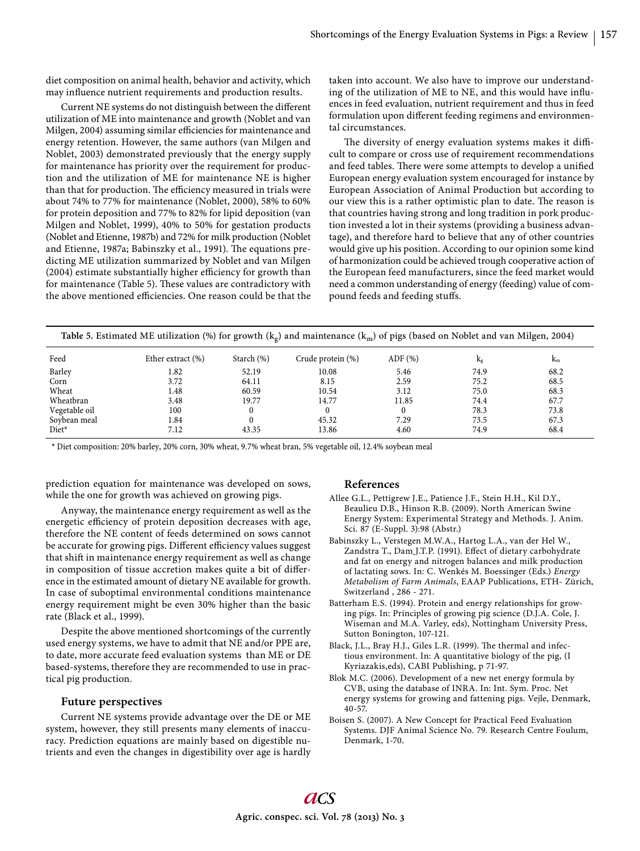diet composition on animal health, behavior and activity, which may influence nutrient requirements and production results.

Current NE systems do not distinguish between the different utilization of ME into maintenance and growth (Noblet and van Milgen, 2004) assuming similar efficiencies for maintenance and energy retention. However, the same authors (van Milgen and Noblet, 2003) demonstrated previously that the energy supply for maintenance has priority over the requirement for production and the utilization of ME for maintenance NE is higher than that for production. The efficiency measured in trials were about 74% to 77% for maintenance (Noblet, 2000), 58% to 60% for protein deposition and 77% to 82% for lipid deposition (van Milgen and Noblet, 1999), 40% to 50% for gestation products (Noblet and Etienne, 1987b) and 72% for milk production (Noblet and Etienne, 1987a; Babinszky et al., 1991). The equations predicting ME utilization summarized by Noblet and van Milgen (2004) estimate substantially higher efficiency for growth than for maintenance (Table 5). These values are contradictory with the above mentioned efficiencies. One reason could be that the

taken into account. We also have to improve our understanding of the utilization of ME to NE, and this would have influences in feed evaluation, nutrient requirement and thus in feed formulation upon different feeding regimens and environmental circumstances.

The diversity of energy evaluation systems makes it difficult to compare or cross use of requirement recommendations and feed tables. There were some attempts to develop a unified European energy evaluation system encouraged for instance by European Association of Animal Production but according to our view this is a rather optimistic plan to date. The reason is that countries having strong and long tradition in pork production invested a lot in their systems (providing a business advantage), and therefore hard to believe that any of other countries would give up his position. According to our opinion some kind of harmonization could be achieved trough cooperative action of the European feed manufacturers, since the feed market would need a common understanding of energy (feeding) value of compound feeds and feeding stuffs.

| Table 5. Estimated ME utilization (%) for growth ( $k_g$ ) and maintenance ( $k_m$ ) of pigs (based on Noblet and van Milgen, 2004) |
|-------------------------------------------------------------------------------------------------------------------------------------|
|                                                                                                                                     |

| Feed          | Ether extract $(\%)$ | Starch (%) | Crude protein (%) | $ADF$ $(\%)$ | Κg   | $k_{m}$ |
|---------------|----------------------|------------|-------------------|--------------|------|---------|
| Barley        | 1.82                 | 52.19      | 10.08             | 5.46         | 74.9 | 68.2    |
| Corn          | 3.72                 | 64.11      | 8.15              | 2.59         | 75.2 | 68.5    |
| Wheat         | 1.48                 | 60.59      | 10.54             | 3.12         | 75.0 | 68.3    |
| Wheatbran     | 3.48                 | 19.77      | 14.77             | 11.85        | 74.4 | 67.7    |
| Vegetable oil | 100                  | 0          | $\Omega$          |              | 78.3 | 73.8    |
| Soybean meal  | 1.84                 |            | 45.32             | 7.29         | 73.5 | 67.3    |
| Diet*         | 7.12                 | 43.35      | 13.86             | 4.60         | 74.9 | 68.4    |

\* Diet composition: 20% barley, 20% corn, 30% wheat, 9.7% wheat bran, 5% vegetable oil, 12.4% soybean meal

prediction equation for maintenance was developed on sows, while the one for growth was achieved on growing pigs.

Anyway, the maintenance energy requirement as well as the energetic efficiency of protein deposition decreases with age, therefore the NE content of feeds determined on sows cannot be accurate for growing pigs. Different efficiency values suggest that shift in maintenance energy requirement as well as change in composition of tissue accretion makes quite a bit of difference in the estimated amount of dietary NE available for growth. In case of suboptimal environmental conditions maintenance energy requirement might be even 30% higher than the basic rate (Black et al., 1999).

Despite the above mentioned shortcomings of the currently used energy systems, we have to admit that NE and/or PPE are, to date, more accurate feed evaluation systems than ME or DE based-systems, therefore they are recommended to use in practical pig production.

## **Future perspectives**

Current NE systems provide advantage over the DE or ME system, however, they still presents many elements of inaccuracy. Prediction equations are mainly based on digestible nutrients and even the changes in digestibility over age is hardly

### **References**

- Allee G.L., Pettigrew J.E., Patience J.F., Stein H.H., Kil D.Y., Beaulieu D.B., Hinson R.B. (2009). North American Swine Energy System: Experimental Strategy and Methods. J. Anim. Sci. 87 (E-Suppl. 3):98 (Abstr.)
- Babinszky L., Verstegen M.W.A., Hartog L.A., van der Hel W., Zandstra T., Dam J.T.P. (1991). Effect of dietary carbohydrate and fat on energy and nitrogen balances and milk production of lactating sows. In: C. Wenkés M. Boessinger (Eds.) *Energy Metabolism of Farm Animals*, EAAP Publications, ETH- Zürich, Switzerland , 286 - 271.
- Batterham E.S. (1994). Protein and energy relationships for growing pigs. In: Principles of growing pig science (D.J.A. Cole, J. Wiseman and M.A. Varley, eds), Nottingham University Press, Sutton Bonington, 107-121.
- Black, J.L., Bray H.J., Giles L.R. (1999). The thermal and infectious environment. In: A quantitative biology of the pig, (I Kyriazakis,eds), CABI Publishing, p 71-97.
- Blok M.C. (2006). Development of a new net energy formula by CVB, using the database of INRA. In: Int. Sym. Proc. Net energy systems for growing and fattening pigs. Vejle, Denmark, 40-57.
- Boisen S. (2007). A New Concept for Practical Feed Evaluation Systems. DJF Animal Science No. 79. Research Centre Foulum, Denmark, 1-70.